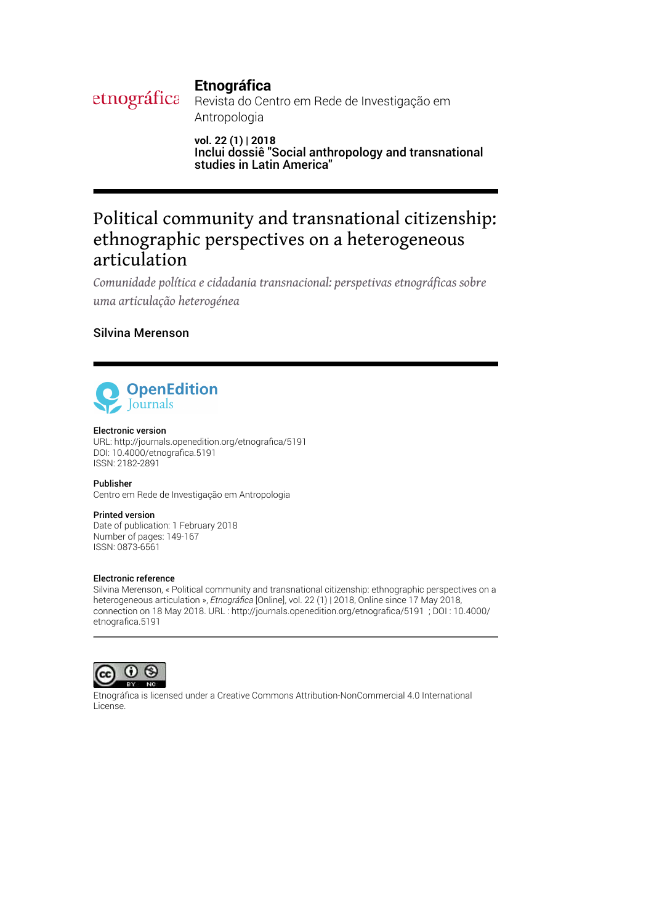# **Etnográfica**

etnográfica Revista do Centro em Rede de Investigação em Antropologia

> **vol. 22 (1) | 2018** Inclui dossiê "Social anthropology and transnational studies in Latin America"

# Political community and transnational citizenship: ethnographic perspectives on a heterogeneous articulation

*Comunidade política e cidadania transnacional: perspetivas etnográficas sobre uma articulação heterogénea*

## Silvina Merenson



### Electronic version

URL: [http://journals.openedition.org/etnogra](http://journals.openedition.org/etnografica/5191)fica/5191 DOI: 10.4000/etnografica.5191 ISSN: 2182-2891

Publisher Centro em Rede de Investigação em Antropologia

### Printed version

Date of publication: 1 February 2018 Number of pages: 149-167 ISSN: 0873-6561

### Electronic reference

Silvina Merenson, « Political community and transnational citizenship: ethnographic perspectives on a heterogeneous articulation », *Etnográfica* [Online], vol. 22 (1) | 2018, Online since 17 May 2018, connection on 18 May 2018. URL : http://journals.openedition.org/etnografica/5191 ; DOI : 10.4000/ etnografica.5191



Etnográfica is licensed under a [Creative Commons Attribution-NonCommercial 4.0 International](http://creativecommons.org/licenses/by-nc/4.0/) [License.](http://creativecommons.org/licenses/by-nc/4.0/)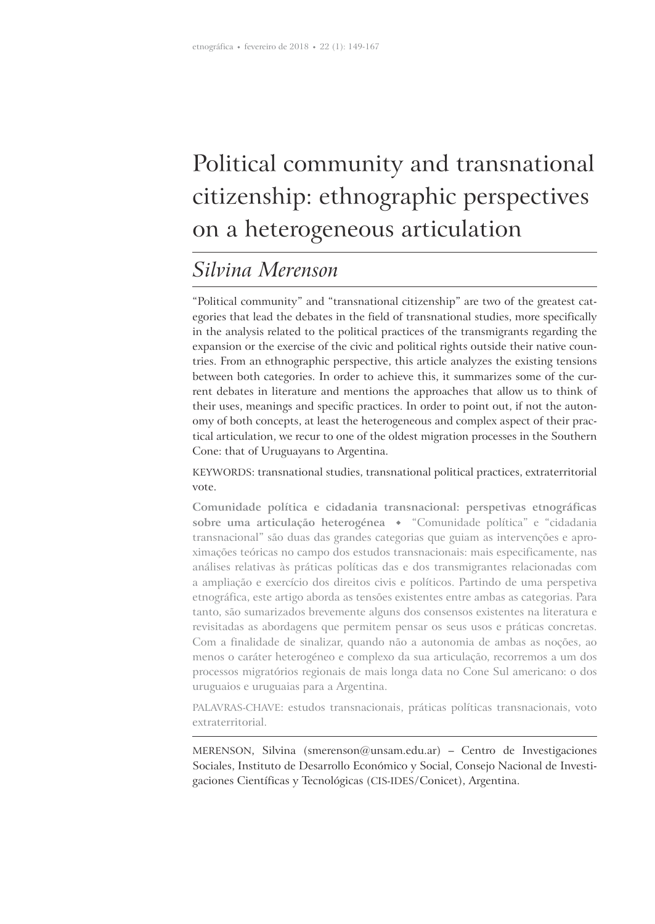# Political community and transnational citizenship: ethnographic perspectives on a heterogeneous articulation

# *Silvina Merenson*

"Political community" and "transnational citizenship" are two of the greatest categories that lead the debates in the field of transnational studies, more specifically in the analysis related to the political practices of the transmigrants regarding the expansion or the exercise of the civic and political rights outside their native countries. From an ethnographic perspective, this article analyzes the existing tensions between both categories. In order to achieve this, it summarizes some of the current debates in literature and mentions the approaches that allow us to think of their uses, meanings and specific practices. In order to point out, if not the autonomy of both concepts, at least the heterogeneous and complex aspect of their practical articulation, we recur to one of the oldest migration processes in the Southern Cone: that of Uruguayans to Argentina.

KEYWORDS: transnational studies, transnational political practices, extraterritorial vote.

**Comunidade política e cidadania transnacional: perspetivas etnográficas sobre uma articulação heterogénea** "Comunidade política" e "cidadania transnacional" são duas das grandes categorias que guiam as intervenções e aproximações teóricas no campo dos estudos transnacionais: mais especificamente, nas análises relativas às práticas políticas das e dos transmigrantes relacionadas com a ampliação e exercício dos direitos civis e políticos. Partindo de uma perspetiva etnográfica, este artigo aborda as tensões existentes entre ambas as categorias. Para tanto, são sumarizados brevemente alguns dos consensos existentes na literatura e revisitadas as abordagens que permitem pensar os seus usos e práticas concretas. Com a finalidade de sinalizar, quando não a autonomia de ambas as noções, ao menos o caráter heterogéneo e complexo da sua articulação, recorremos a um dos processos migratórios regionais de mais longa data no Cone Sul americano: o dos uruguaios e uruguaias para a Argentina.

PALAVRAS-CHAVE: estudos transnacionais, práticas políticas transnacionais, voto extraterritorial.

MERENSON, Silvina (smerenson@unsam.edu.ar) – Centro de Investigaciones Sociales, Instituto de Desarrollo Económico y Social, Consejo Nacional de Investigaciones Científicas y Tecnológicas (CIS-IDES/Conicet), Argentina.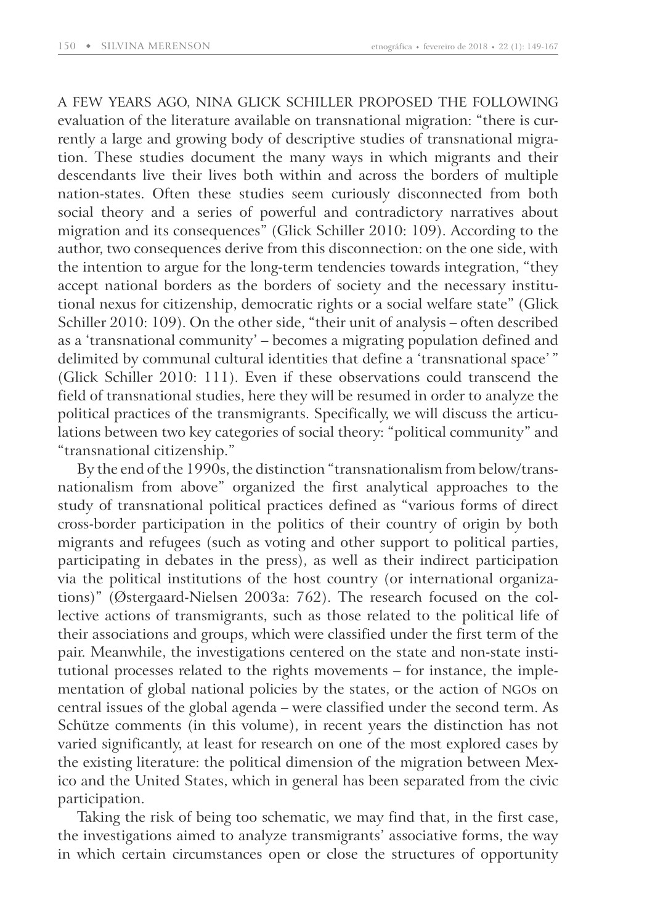A FEW YEARS AGO, NINA GLICK SCHILLER PROPOSED THE FOLLOWING evaluation of the literature available on transnational migration: "there is currently a large and growing body of descriptive studies of transnational migration. These studies document the many ways in which migrants and their descendants live their lives both within and across the borders of multiple nation-states. Often these studies seem curiously disconnected from both social theory and a series of powerful and contradictory narratives about migration and its consequences" (Glick Schiller 2010: 109). According to the author, two consequences derive from this disconnection: on the one side, with the intention to argue for the long-term tendencies towards integration, "they accept national borders as the borders of society and the necessary institutional nexus for citizenship, democratic rights or a social welfare state" (Glick Schiller 2010: 109). On the other side, "their unit of analysis – often described as a 'transnational community' – becomes a migrating population defined and delimited by communal cultural identities that define a 'transnational space'" (Glick Schiller 2010: 111). Even if these observations could transcend the field of transnational studies, here they will be resumed in order to analyze the political practices of the transmigrants. Specifically, we will discuss the articulations between two key categories of social theory: "political community" and "transnational citizenship."

By the end of the 1990s, the distinction "transnationalism from below/transnationalism from above" organized the first analytical approaches to the study of transnational political practices defined as "various forms of direct cross-border participation in the politics of their country of origin by both migrants and refugees (such as voting and other support to political parties, participating in debates in the press), as well as their indirect participation via the political institutions of the host country (or international organizations)" (Østergaard-Nielsen 2003a: 762). The research focused on the collective actions of transmigrants, such as those related to the political life of their associations and groups, which were classified under the first term of the pair. Meanwhile, the investigations centered on the state and non-state institutional processes related to the rights movements – for instance, the implementation of global national policies by the states, or the action of NGOs on central issues of the global agenda – were classified under the second term. As Schütze comments (in this volume), in recent years the distinction has not varied significantly, at least for research on one of the most explored cases by the existing literature: the political dimension of the migration between Mexico and the United States, which in general has been separated from the civic participation.

Taking the risk of being too schematic, we may find that, in the first case, the investigations aimed to analyze transmigrants' associative forms, the way in which certain circumstances open or close the structures of opportunity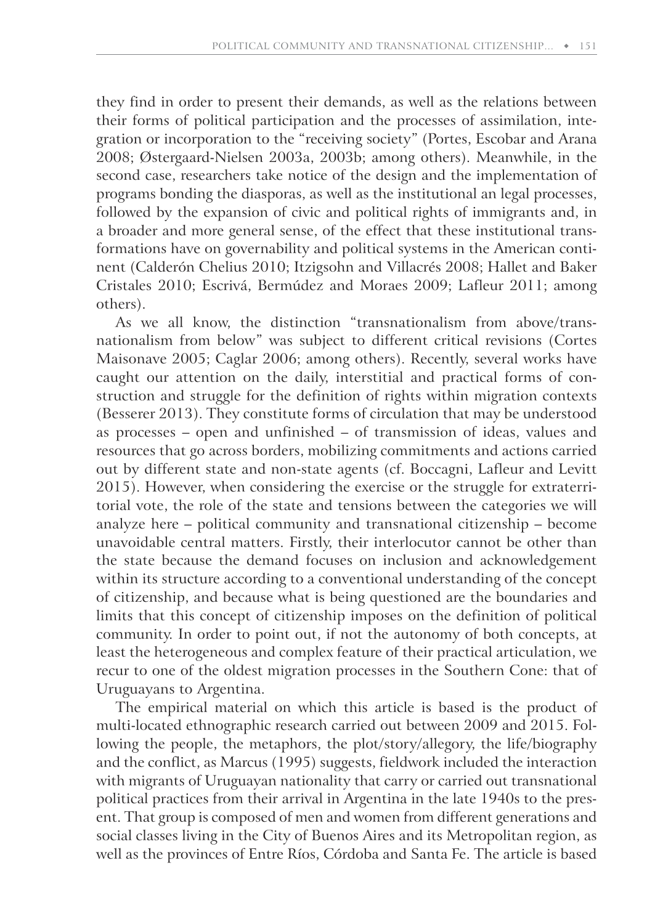they find in order to present their demands, as well as the relations between their forms of political participation and the processes of assimilation, integration or incorporation to the "receiving society" (Portes, Escobar and Arana 2008; Østergaard-Nielsen 2003a, 2003b; among others). Meanwhile, in the second case, researchers take notice of the design and the implementation of programs bonding the diasporas, as well as the institutional an legal processes, followed by the expansion of civic and political rights of immigrants and, in a broader and more general sense, of the effect that these institutional transformations have on governability and political systems in the American continent (Calderón Chelius 2010; Itzigsohn and Villacrés 2008; Hallet and Baker Cristales 2010; Escrivá, Bermúdez and Moraes 2009; Lafleur 2011; among others).

As we all know, the distinction "transnationalism from above/transnationalism from below" was subject to different critical revisions (Cortes Maisonave 2005; Caglar 2006; among others). Recently, several works have caught our attention on the daily, interstitial and practical forms of construction and struggle for the definition of rights within migration contexts (Besserer 2013). They constitute forms of circulation that may be understood as processes – open and unfinished – of transmission of ideas, values and resources that go across borders, mobilizing commitments and actions carried out by different state and non-state agents (cf. Boccagni, Lafleur and Levitt 2015). However, when considering the exercise or the struggle for extraterritorial vote, the role of the state and tensions between the categories we will analyze here – political community and transnational citizenship – become unavoidable central matters. Firstly, their interlocutor cannot be other than the state because the demand focuses on inclusion and acknowledgement within its structure according to a conventional understanding of the concept of citizenship, and because what is being questioned are the boundaries and limits that this concept of citizenship imposes on the definition of political community. In order to point out, if not the autonomy of both concepts, at least the heterogeneous and complex feature of their practical articulation, we recur to one of the oldest migration processes in the Southern Cone: that of Uruguayans to Argentina.

The empirical material on which this article is based is the product of multi-located ethnographic research carried out between 2009 and 2015. Following the people, the metaphors, the plot/story/allegory, the life/biography and the conflict, as Marcus (1995) suggests, fieldwork included the interaction with migrants of Uruguayan nationality that carry or carried out transnational political practices from their arrival in Argentina in the late 1940s to the present. That group is composed of men and women from different generations and social classes living in the City of Buenos Aires and its Metropolitan region, as well as the provinces of Entre Ríos, Córdoba and Santa Fe. The article is based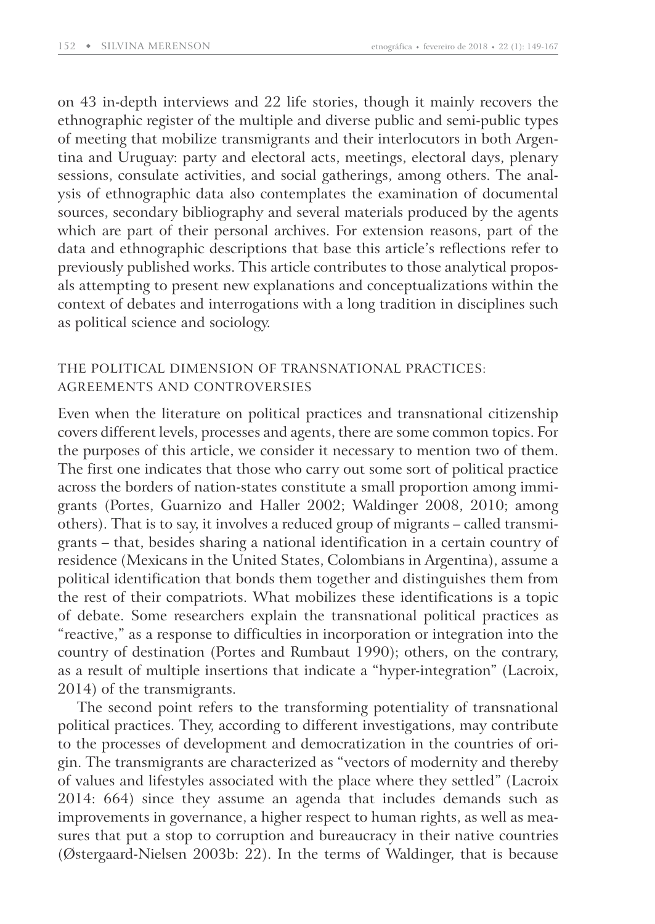on 43 in-depth interviews and 22 life stories, though it mainly recovers the ethnographic register of the multiple and diverse public and semi-public types of meeting that mobilize transmigrants and their interlocutors in both Argentina and Uruguay: party and electoral acts, meetings, electoral days, plenary sessions, consulate activities, and social gatherings, among others. The analysis of ethnographic data also contemplates the examination of documental sources, secondary bibliography and several materials produced by the agents which are part of their personal archives. For extension reasons, part of the data and ethnographic descriptions that base this article's reflections refer to previously published works. This article contributes to those analytical proposals attempting to present new explanations and conceptualizations within the context of debates and interrogations with a long tradition in disciplines such as political science and sociology.

### THE POLITICAL DIMENSION OF TRANSNATIONAL PRACTICES: AGREEMENTS AND CONTROVERSIES

Even when the literature on political practices and transnational citizenship covers different levels, processes and agents, there are some common topics. For the purposes of this article, we consider it necessary to mention two of them. The first one indicates that those who carry out some sort of political practice across the borders of nation-states constitute a small proportion among immigrants (Portes, Guarnizo and Haller 2002; Waldinger 2008, 2010; among others). That is to say, it involves a reduced group of migrants – called transmigrants – that, besides sharing a national identification in a certain country of residence (Mexicans in the United States, Colombians in Argentina), assume a political identification that bonds them together and distinguishes them from the rest of their compatriots. What mobilizes these identifications is a topic of debate. Some researchers explain the transnational political practices as "reactive," as a response to difficulties in incorporation or integration into the country of destination (Portes and Rumbaut 1990); others, on the contrary, as a result of multiple insertions that indicate a "hyper-integration" (Lacroix, 2014) of the transmigrants.

The second point refers to the transforming potentiality of transnational political practices. They, according to different investigations, may contribute to the processes of development and democratization in the countries of origin. The transmigrants are characterized as "vectors of modernity and thereby of values and lifestyles associated with the place where they settled" ( Lacroix 2014: 664) since they assume an agenda that includes demands such as improvements in governance, a higher respect to human rights, as well as measures that put a stop to corruption and bureaucracy in their native countries (Østergaard-Nielsen 2003b: 22). In the terms of Waldinger, that is because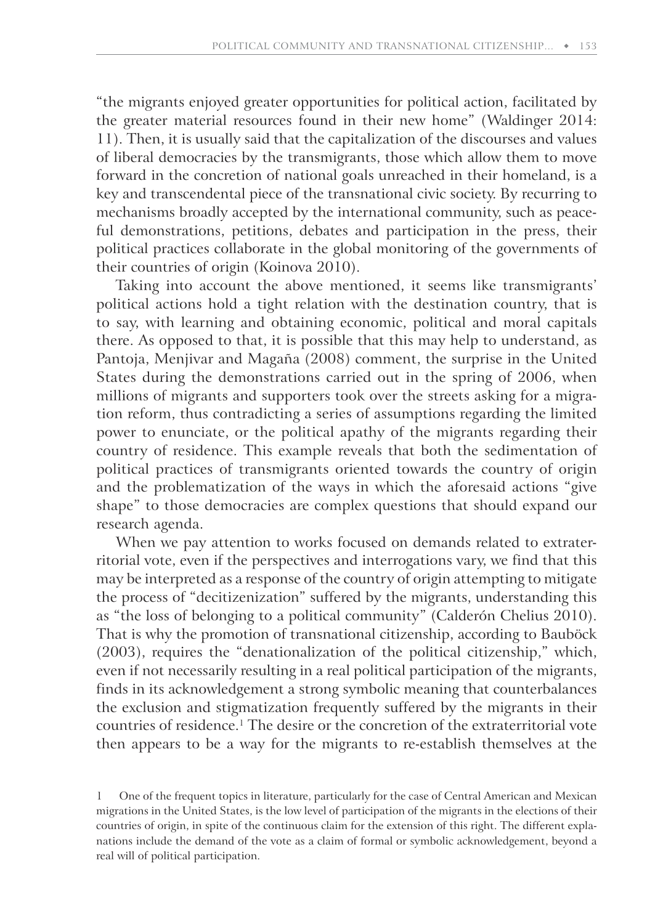"the migrants enjoyed greater opportunities for political action, facilitated by the greater material resources found in their new home" (Waldinger 2014: 11). Then, it is usually said that the capitalization of the discourses and values of liberal democracies by the transmigrants, those which allow them to move forward in the concretion of national goals unreached in their homeland, is a key and transcendental piece of the transnational civic society. By recurring to mechanisms broadly accepted by the international community, such as peaceful demonstrations, petitions, debates and participation in the press, their political practices collaborate in the global monitoring of the governments of their countries of origin (Koinova 2010).

Taking into account the above mentioned, it seems like transmigrants' political actions hold a tight relation with the destination country, that is to say, with learning and obtaining economic, political and moral capitals there. As opposed to that, it is possible that this may help to understand, as Pantoja, Menjivar and Magaña (2008) comment, the surprise in the United States during the demonstrations carried out in the spring of 2006, when millions of migrants and supporters took over the streets asking for a migration reform, thus contradicting a series of assumptions regarding the limited power to enunciate, or the political apathy of the migrants regarding their country of residence. This example reveals that both the sedimentation of political practices of transmigrants oriented towards the country of origin and the problematization of the ways in which the aforesaid actions "give shape" to those democracies are complex questions that should expand our research agenda.

When we pay attention to works focused on demands related to extraterritorial vote, even if the perspectives and interrogations vary, we find that this may be interpreted as a response of the country of origin attempting to mitigate the process of "decitizenization" suffered by the migrants, understanding this as "the loss of belonging to a political community" (Calderón Chelius 2010). That is why the promotion of transnational citizenship, according to Bauböck (2003), requires the "denationalization of the political citizenship," which, even if not necessarily resulting in a real political participation of the migrants, finds in its acknowledgement a strong symbolic meaning that counterbalances the exclusion and stigmatization frequently suffered by the migrants in their countries of residence.<sup>1</sup> The desire or the concretion of the extraterritorial vote then appears to be a way for the migrants to re-establish themselves at the

1 One of the frequent topics in literature, particularly for the case of Central American and Mexican migrations in the United States, is the low level of participation of the migrants in the elections of their countries of origin, in spite of the continuous claim for the extension of this right. The different explanations include the demand of the vote as a claim of formal or symbolic acknowledgement, beyond a real will of political participation.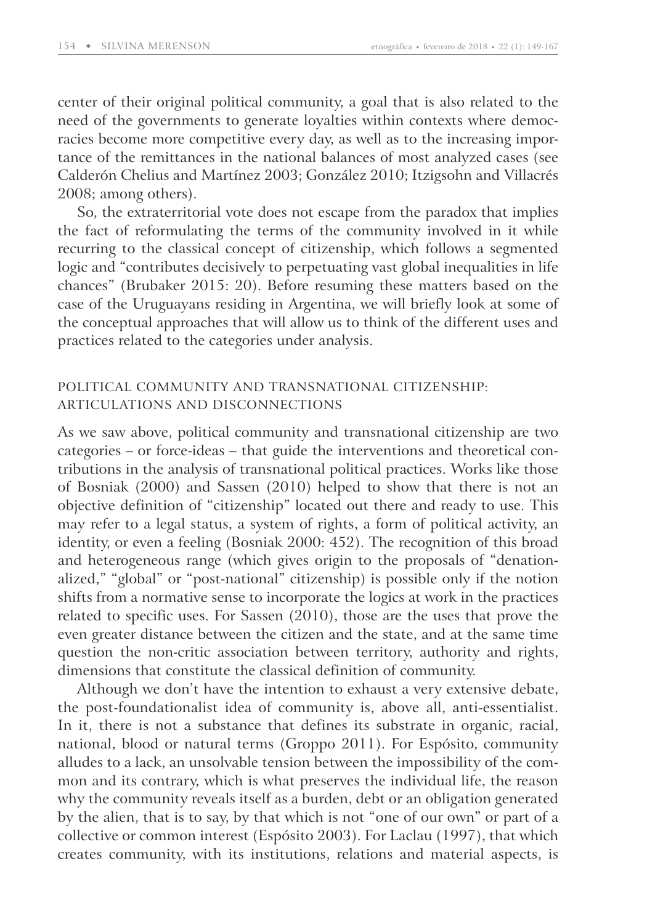center of their original political community, a goal that is also related to the need of the governments to generate loyalties within contexts where democracies become more competitive every day, as well as to the increasing importance of the remittances in the national balances of most analyzed cases (see Calderón Chelius and Martínez 2003; González 2010; Itzigsohn and Villacrés 2008; among others).

So, the extraterritorial vote does not escape from the paradox that implies the fact of reformulating the terms of the community involved in it while recurring to the classical concept of citizenship, which follows a segmented logic and "contributes decisively to perpetuating vast global inequalities in life chances" (Brubaker 2015: 20). Before resuming these matters based on the case of the Uruguayans residing in Argentina, we will briefly look at some of the conceptual approaches that will allow us to think of the different uses and practices related to the categories under analysis.

### POLITICAL COMMUNITY AND TRANSNATIONAL CITIZENSHIP: ARTICULATIONS AND DISCONNECTIONS

As we saw above, political community and transnational citizenship are two categories – or force-ideas – that guide the interventions and theoretical contributions in the analysis of transnational political practices. Works like those of Bosniak (2000) and Sassen (2010) helped to show that there is not an objective definition of "citizenship" located out there and ready to use. This may refer to a legal status, a system of rights, a form of political activity, an identity, or even a feeling (Bosniak 2000: 452). The recognition of this broad and heterogeneous range (which gives origin to the proposals of "denationalized," "global" or "post-national" citizenship) is possible only if the notion shifts from a normative sense to incorporate the logics at work in the practices related to specific uses. For Sassen (2010), those are the uses that prove the even greater distance between the citizen and the state, and at the same time question the non-critic association between territory, authority and rights, dimensions that constitute the classical definition of community.

Although we don't have the intention to exhaust a very extensive debate, the post-foundationalist idea of community is, above all, anti-essentialist. In it, there is not a substance that defines its substrate in organic, racial, national, blood or natural terms (Groppo 2011). For Espósito, community alludes to a lack, an unsolvable tension between the impossibility of the common and its contrary, which is what preserves the individual life, the reason why the community reveals itself as a burden, debt or an obligation generated by the alien, that is to say, by that which is not "one of our own" or part of a collective or common interest (Espósito 2003). For Laclau (1997), that which creates community, with its institutions, relations and material aspects, is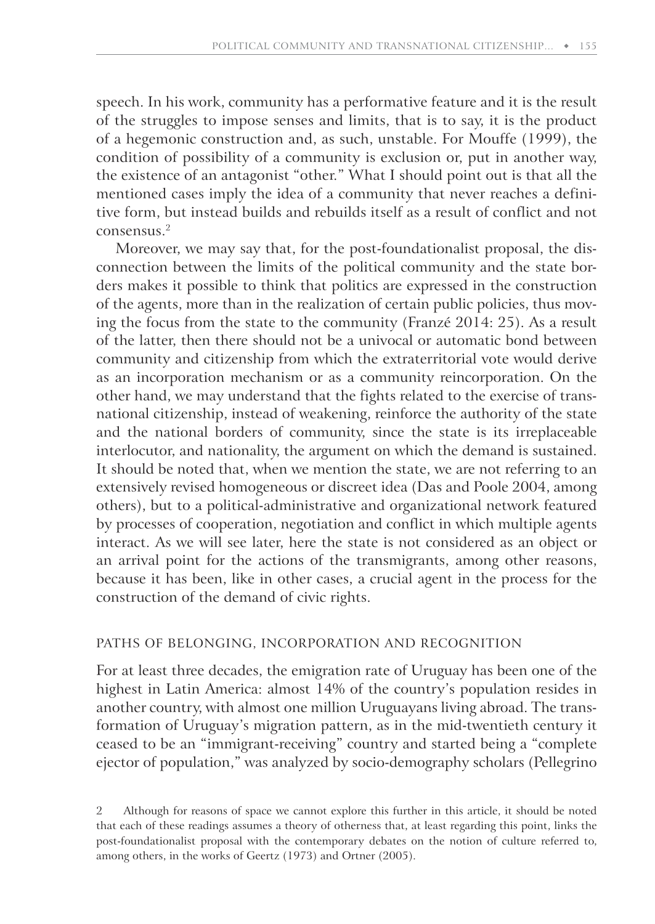speech. In his work, community has a performative feature and it is the result of the struggles to impose senses and limits, that is to say, it is the product of a hegemonic construction and, as such, unstable. For Mouffe (1999), the condition of possibility of a community is exclusion or, put in another way, the existence of an antagonist "other." What I should point out is that all the mentioned cases imply the idea of a community that never reaches a definitive form, but instead builds and rebuilds itself as a result of conflict and not consensus.<sup>2</sup>

Moreover, we may say that, for the post-foundationalist proposal, the disconnection between the limits of the political community and the state borders makes it possible to think that politics are expressed in the construction of the agents, more than in the realization of certain public policies, thus moving the focus from the state to the community (Franzé 2014: 25). As a result of the latter, then there should not be a univocal or automatic bond between community and citizenship from which the extraterritorial vote would derive as an incorporation mechanism or as a community reincorporation. On the other hand, we may understand that the fights related to the exercise of transnational citizenship, instead of weakening, reinforce the authority of the state and the national borders of community, since the state is its irreplaceable interlocutor, and nationality, the argument on which the demand is sustained. It should be noted that, when we mention the state, we are not referring to an extensively revised homogeneous or discreet idea (Das and Poole 2004, among others), but to a political-administrative and organizational network featured by processes of cooperation, negotiation and conflict in which multiple agents interact. As we will see later, here the state is not considered as an object or an arrival point for the actions of the transmigrants, among other reasons, because it has been, like in other cases, a crucial agent in the process for the construction of the demand of civic rights.

### PATHS OF BELONGING, INCORPORATION AND RECOGNITION

For at least three decades, the emigration rate of Uruguay has been one of the highest in Latin America: almost 14% of the country's population resides in another country, with almost one million Uruguayans living abroad. The transformation of Uruguay's migration pattern, as in the mid-twentieth century it ceased to be an "immigrant-receiving" country and started being a "complete ejector of population," was analyzed by socio-demography scholars (Pellegrino

<sup>2</sup> Although for reasons of space we cannot explore this further in this article, it should be noted that each of these readings assumes a theory of otherness that, at least regarding this point, links the post-foundationalist proposal with the contemporary debates on the notion of culture referred to, among others, in the works of Geertz (1973) and Ortner (2005).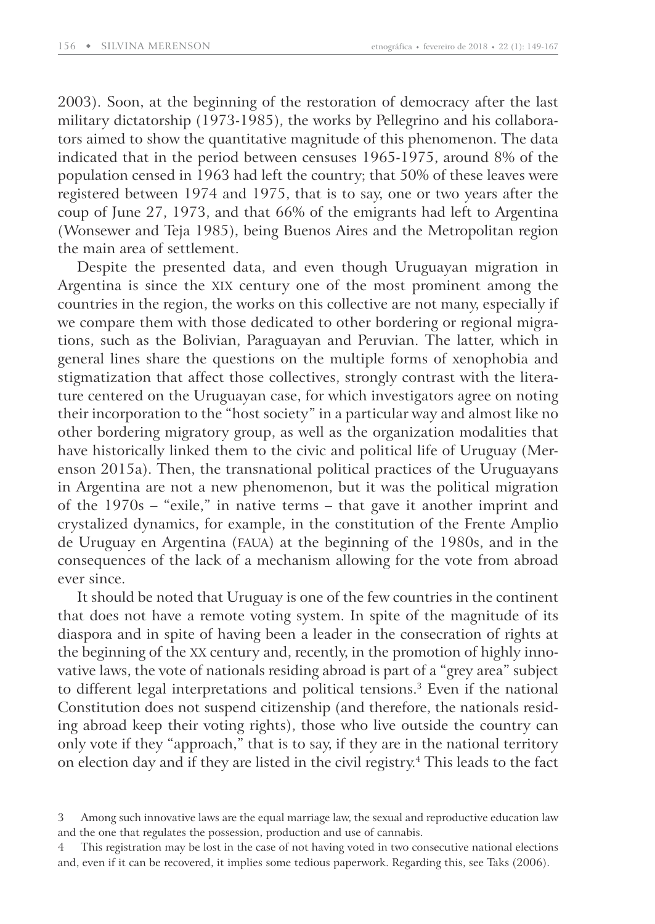2003). Soon, at the beginning of the restoration of democracy after the last military dictatorship (1973-1985), the works by Pellegrino and his collaborators aimed to show the quantitative magnitude of this phenomenon. The data indicated that in the period between censuses 1965-1975, around 8% of the population censed in 1963 had left the country; that 50% of these leaves were registered between 1974 and 1975, that is to say, one or two years after the coup of June 27, 1973, and that 66% of the emigrants had left to Argentina (Wonsewer and Teja 1985), being Buenos Aires and the Metropolitan region the main area of settlement.

Despite the presented data, and even though Uruguayan migration in Argentina is since the XIX century one of the most prominent among the countries in the region, the works on this collective are not many, especially if we compare them with those dedicated to other bordering or regional migrations, such as the Bolivian, Paraguayan and Peruvian. The latter, which in general lines share the questions on the multiple forms of xenophobia and stigmatization that affect those collectives, strongly contrast with the literature centered on the Uruguayan case, for which investigators agree on noting their incorporation to the "host society" in a particular way and almost like no other bordering migratory group, as well as the organization modalities that have historically linked them to the civic and political life of Uruguay (Merenson 2015a). Then, the transnational political practices of the Uruguayans in Argentina are not a new phenomenon, but it was the political migration of the 1970s – "exile," in native terms – that gave it another imprint and crystalized dynamics, for example, in the constitution of the Frente Amplio de Uruguay en Argentina (FAUA) at the beginning of the 1980s, and in the consequences of the lack of a mechanism allowing for the vote from abroad ever since.

It should be noted that Uruguay is one of the few countries in the continent that does not have a remote voting system. In spite of the magnitude of its diaspora and in spite of having been a leader in the consecration of rights at the beginning of the XX century and, recently, in the promotion of highly innovative laws, the vote of nationals residing abroad is part of a "grey area" subject to different legal interpretations and political tensions.<sup>3</sup> Even if the national Constitution does not suspend citizenship (and therefore, the nationals residing abroad keep their voting rights), those who live outside the country can only vote if they "approach," that is to say, if they are in the national territory on election day and if they are listed in the civil registry.<sup>4</sup> This leads to the fact

<sup>3</sup> Among such innovative laws are the equal marriage law, the sexual and reproductive education law and the one that regulates the possession, production and use of cannabis.

This registration may be lost in the case of not having voted in two consecutive national elections and, even if it can be recovered, it implies some tedious paperwork. Regarding this, see Taks (2006).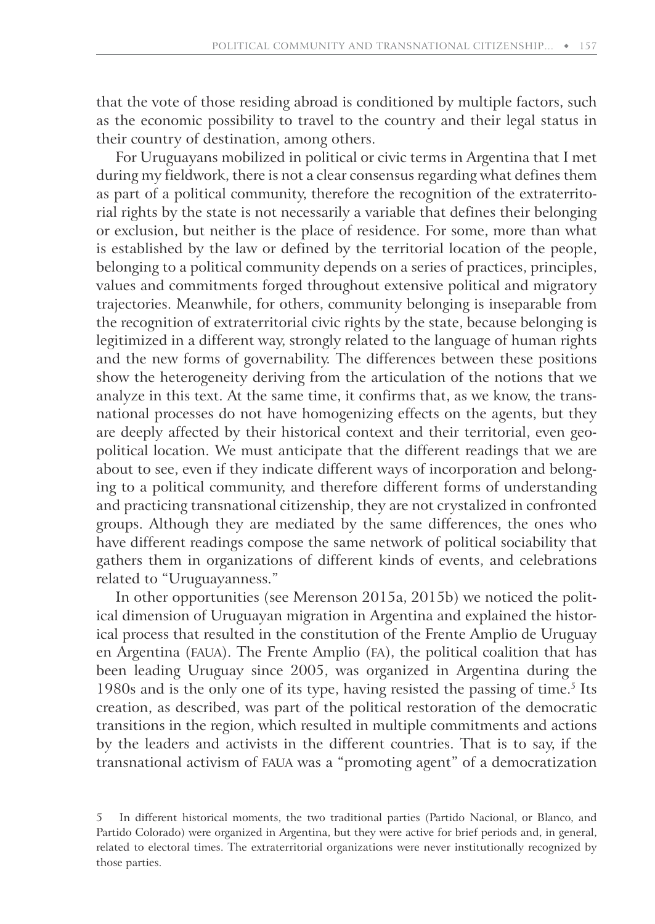that the vote of those residing abroad is conditioned by multiple factors, such as the economic possibility to travel to the country and their legal status in their country of destination, among others.

For Uruguayans mobilized in political or civic terms in Argentina that I met during my fieldwork, there is not a clear consensus regarding what defines them as part of a political community, therefore the recognition of the extraterritorial rights by the state is not necessarily a variable that defines their belonging or exclusion, but neither is the place of residence. For some, more than what is established by the law or defined by the territorial location of the people, belonging to a political community depends on a series of practices, principles, values and commitments forged throughout extensive political and migratory trajectories. Meanwhile, for others, community belonging is inseparable from the recognition of extraterritorial civic rights by the state, because belonging is legitimized in a different way, strongly related to the language of human rights and the new forms of governability. The differences between these positions show the heterogeneity deriving from the articulation of the notions that we analyze in this text. At the same time, it confirms that, as we know, the transnational processes do not have homogenizing effects on the agents, but they are deeply affected by their historical context and their territorial, even geopolitical location. We must anticipate that the different readings that we are about to see, even if they indicate different ways of incorporation and belonging to a political community, and therefore different forms of understanding and practicing transnational citizenship, they are not crystalized in confronted groups. Although they are mediated by the same differences, the ones who have different readings compose the same network of political sociability that gathers them in organizations of different kinds of events, and celebrations related to "Uruguayanness."

In other opportunities (see Merenson 2015a, 2015b) we noticed the political dimension of Uruguayan migration in Argentina and explained the historical process that resulted in the constitution of the Frente Amplio de Uruguay en Argentina (FAUA). The Frente Amplio (FA), the political coalition that has been leading Uruguay since 2005, was organized in Argentina during the 1980s and is the only one of its type, having resisted the passing of time.<sup>5</sup> Its creation, as described, was part of the political restoration of the democratic transitions in the region, which resulted in multiple commitments and actions by the leaders and activists in the different countries. That is to say, if the transnational activism of FAUA was a "promoting agent" of a democratization

<sup>5</sup> In different historical moments, the two traditional parties (Partido Nacional, or Blanco, and Partido Colorado) were organized in Argentina, but they were active for brief periods and, in general, related to electoral times. The extraterritorial organizations were never institutionally recognized by those parties.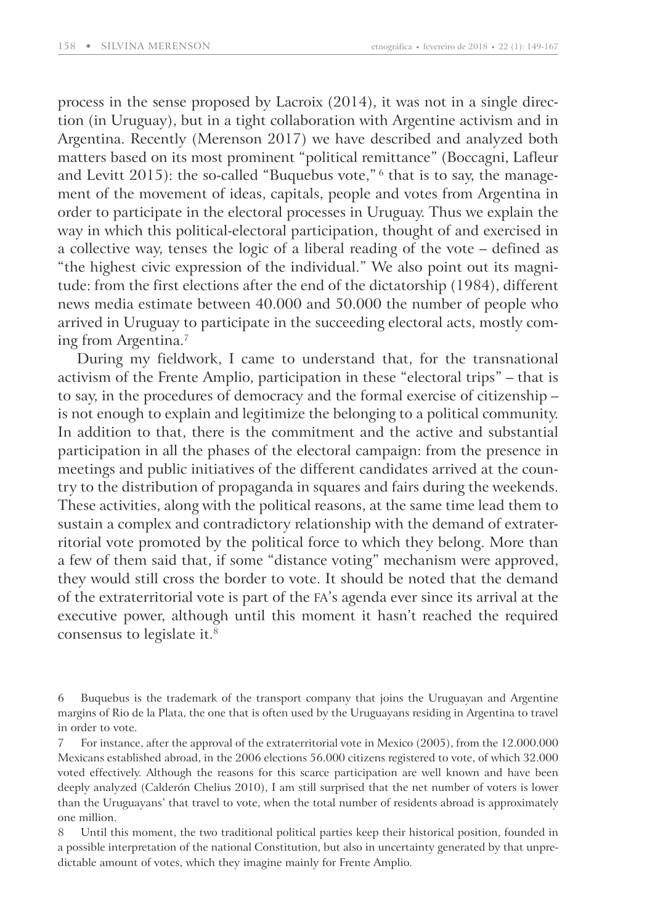process in the sense proposed by Lacroix (2014), it was not in a single direction (in Uruguay), but in a tight collaboration with Argentine activism and in Argentina. Recently (Merenson 2017) we have described and analyzed both matters based on its most prominent "political remittance" (Boccagni, Lafleur and Levitt 2015): the so-called "Buquebus vote," 6 that is to say, the management of the movement of ideas, capitals, people and votes from Argentina in order to participate in the electoral processes in Uruguay. Thus we explain the way in which this political-electoral participation, thought of and exercised in a collective way, tenses the logic of a liberal reading of the vote – defined as "the highest civic expression of the individual." We also point out its magnitude: from the first elections after the end of the dictatorship (1984), different news media estimate between 40.000 and 50.000 the number of people who arrived in Uruguay to participate in the succeeding electoral acts, mostly coming from Argentina.<sup>7</sup>

During my fieldwork, I came to understand that, for the transnational activism of the Frente Amplio, participation in these "electoral trips" – that is to say, in the procedures of democracy and the formal exercise of citizenship – is not enough to explain and legitimize the belonging to a political community. In addition to that, there is the commitment and the active and substantial participation in all the phases of the electoral campaign: from the presence in meetings and public initiatives of the different candidates arrived at the country to the distribution of propaganda in squares and fairs during the weekends. These activities, along with the political reasons, at the same time lead them to sustain a complex and contradictory relationship with the demand of extraterritorial vote promoted by the political force to which they belong. More than a few of them said that, if some "distance voting" mechanism were approved, they would still cross the border to vote. It should be noted that the demand of the extraterritorial vote is part of the FA's agenda ever since its arrival at the executive power, although until this moment it hasn't reached the required consensus to legislate it.<sup>8</sup>

<sup>6</sup> Buquebus is the trademark of the transport company that joins the Uruguayan and Argentine margins of Rio de la Plata, the one that is often used by the Uruguayans residing in Argentina to travel in order to vote.

<sup>7</sup> For instance, after the approval of the extraterritorial vote in Mexico (2005), from the 12.000.000 Mexicans established abroad, in the 2006 elections 56.000 citizens registered to vote, of which 32.000 voted effectively. Although the reasons for this scarce participation are well known and have been deeply analyzed (Calderón Chelius 2010), I am still surprised that the net number of voters is lower than the Uruguayans' that travel to vote, when the total number of residents abroad is approximately one million.

<sup>8</sup> Until this moment, the two traditional political parties keep their historical position, founded in a possible interpretation of the national Constitution, but also in uncertainty generated by that unpredictable amount of votes, which they imagine mainly for Frente Amplio.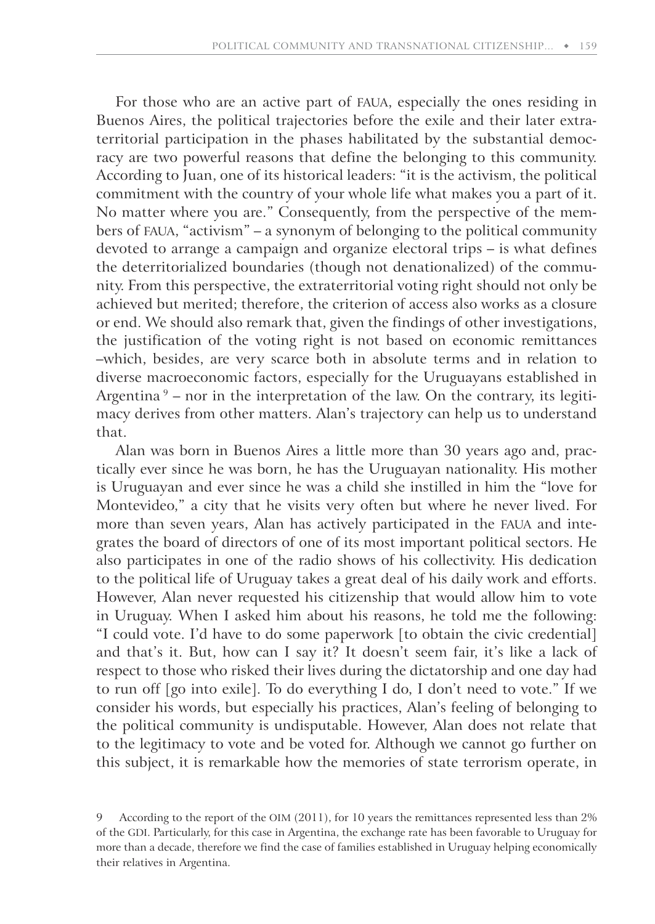For those who are an active part of FAUA, especially the ones residing in Buenos Aires, the political trajectories before the exile and their later extraterritorial participation in the phases habilitated by the substantial democracy are two powerful reasons that define the belonging to this community. According to Juan, one of its historical leaders: "it is the activism, the political commitment with the country of your whole life what makes you a part of it. No matter where you are." Consequently, from the perspective of the members of FAUA, "activism" – a synonym of belonging to the political community devoted to arrange a campaign and organize electoral trips – is what defines the deterritorialized boundaries (though not denationalized) of the community. From this perspective, the extraterritorial voting right should not only be achieved but merited; therefore, the criterion of access also works as a closure or end. We should also remark that, given the findings of other investigations, the justification of the voting right is not based on economic remittances –which, besides, are very scarce both in absolute terms and in relation to diverse macroeconomic factors, especially for the Uruguayans established in Argentina<sup>9</sup> – nor in the interpretation of the law. On the contrary, its legitimacy derives from other matters. Alan's trajectory can help us to understand that.

Alan was born in Buenos Aires a little more than 30 years ago and, practically ever since he was born, he has the Uruguayan nationality. His mother is Uruguayan and ever since he was a child she instilled in him the "love for Montevideo," a city that he visits very often but where he never lived. For more than seven years, Alan has actively participated in the FAUA and integrates the board of directors of one of its most important political sectors. He also participates in one of the radio shows of his collectivity. His dedication to the political life of Uruguay takes a great deal of his daily work and efforts. However, Alan never requested his citizenship that would allow him to vote in Uruguay. When I asked him about his reasons, he told me the following: "I could vote. I'd have to do some paperwork [to obtain the civic credential] and that's it. But, how can I say it? It doesn't seem fair, it's like a lack of respect to those who risked their lives during the dictatorship and one day had to run off [go into exile]. To do everything I do, I don't need to vote." If we consider his words, but especially his practices, Alan's feeling of belonging to the political community is undisputable. However, Alan does not relate that to the legitimacy to vote and be voted for. Although we cannot go further on this subject, it is remarkable how the memories of state terrorism operate, in

<sup>9</sup> According to the report of the OIM (2011), for 10 years the remittances represented less than 2% of the GDI. Particularly, for this case in Argentina, the exchange rate has been favorable to Uruguay for more than a decade, therefore we find the case of families established in Uruguay helping economically their relatives in Argentina.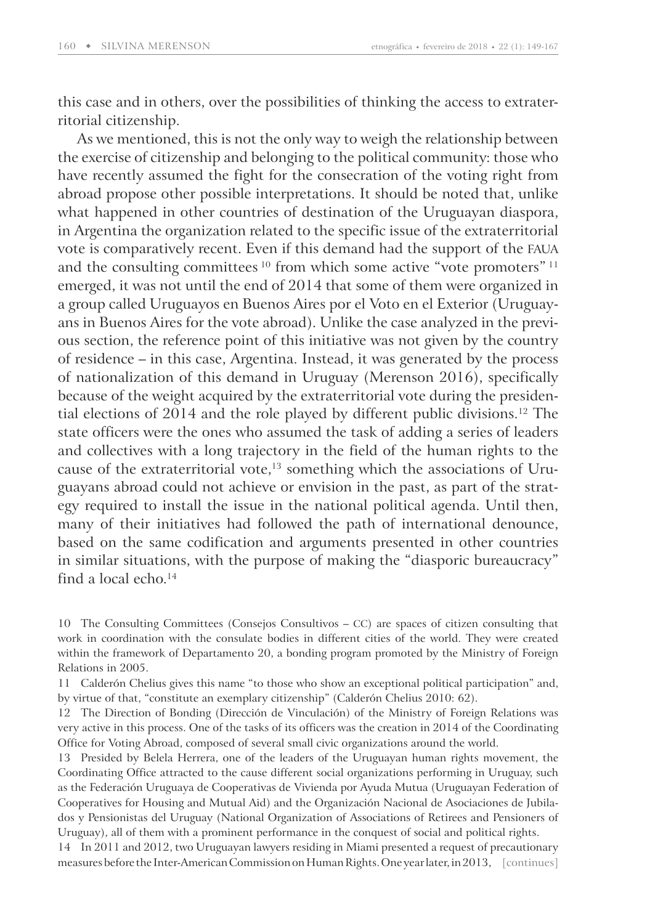this case and in others, over the possibilities of thinking the access to extraterritorial citizenship.

As we mentioned, this is not the only way to weigh the relationship between the exercise of citizenship and belonging to the political community: those who have recently assumed the fight for the consecration of the voting right from abroad propose other possible interpretations. It should be noted that, unlike what happened in other countries of destination of the Uruguayan diaspora, in Argentina the organization related to the specific issue of the extraterritorial vote is comparatively recent. Even if this demand had the support of the FAUA and the consulting committees<sup>10</sup> from which some active "vote promoters"<sup>11</sup> emerged, it was not until the end of 2014 that some of them were organized in a group called Uruguayos en Buenos Aires por el Voto en el Exterior (Uruguayans in Buenos Aires for the vote abroad). Unlike the case analyzed in the previous section, the reference point of this initiative was not given by the country of residence – in this case, Argentina. Instead, it was generated by the process of nationalization of this demand in Uruguay ( Merenson 2016), specifically because of the weight acquired by the extraterritorial vote during the presidential elections of 2014 and the role played by different public divisions.<sup>12</sup> The state officers were the ones who assumed the task of adding a series of leaders and collectives with a long trajectory in the field of the human rights to the cause of the extraterritorial vote, $13$  something which the associations of Uruguayans abroad could not achieve or envision in the past, as part of the strategy required to install the issue in the national political agenda. Until then, many of their initiatives had followed the path of international denounce, based on the same codification and arguments presented in other countries in similar situations, with the purpose of making the "diasporic bureaucracy" find a local echo. $14$ 

10 The Consulting Committees (Consejos Consultivos – CC) are spaces of citizen consulting that work in coordination with the consulate bodies in different cities of the world. They were created within the framework of Departamento 20, a bonding program promoted by the Ministry of Foreign Relations in 2005.

11 Calderón Chelius gives this name "to those who show an exceptional political participation" and, by virtue of that, "constitute an exemplary citizenship" (Calderón Chelius 2010: 62).

12 The Direction of Bonding (Dirección de Vinculación) of the Ministry of Foreign Relations was very active in this process. One of the tasks of its officers was the creation in 2014 of the Coordinating Office for Voting Abroad, composed of several small civic organizations around the world.

13 Presided by Belela Herrera, one of the leaders of the Uruguayan human rights movement, the Coordinating Office attracted to the cause different social organizations performing in Uruguay, such as the Federación Uruguaya de Cooperativas de Vivienda por Ayuda Mutua (Uruguayan Federation of Cooperatives for Housing and Mutual Aid) and the Organización Nacional de Asociaciones de Jubilados y Pensionistas del Uruguay (National Organization of Associations of Retirees and Pensioners of Uruguay), all of them with a prominent performance in the conquest of social and political rights.

14 In 2011 and 2012, two Uruguayan lawyers residing in Miami presented a request of precautionary measures before the Inter-American Commission on Human Rights. One year later, in 2013, [continues]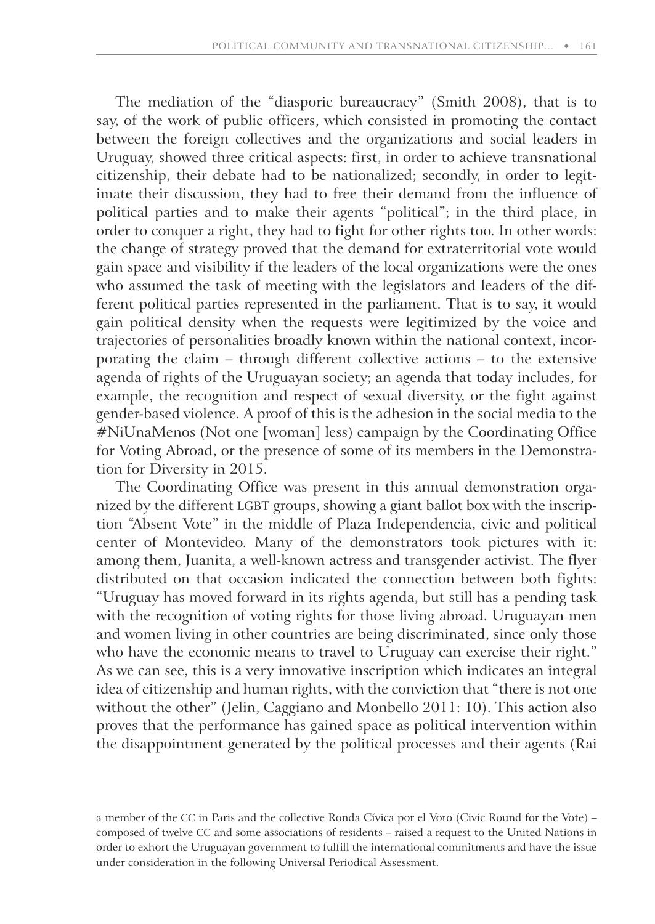The mediation of the "diasporic bureaucracy" (Smith 2008), that is to say, of the work of public officers, which consisted in promoting the contact between the foreign collectives and the organizations and social leaders in Uruguay, showed three critical aspects: first, in order to achieve transnational citizenship, their debate had to be nationalized; secondly, in order to legitimate their discussion, they had to free their demand from the influence of political parties and to make their agents "political"; in the third place, in order to conquer a right, they had to fight for other rights too. In other words: the change of strategy proved that the demand for extraterritorial vote would gain space and visibility if the leaders of the local organizations were the ones who assumed the task of meeting with the legislators and leaders of the different political parties represented in the parliament. That is to say, it would gain political density when the requests were legitimized by the voice and trajectories of personalities broadly known within the national context, incorporating the claim – through different collective actions – to the extensive agenda of rights of the Uruguayan society; an agenda that today includes, for example, the recognition and respect of sexual diversity, or the fight against gender-based violence. A proof of this is the adhesion in the social media to the #NiUnaMenos (Not one [woman] less) campaign by the Coordinating Office for Voting Abroad, or the presence of some of its members in the Demonstration for Diversity in 2015.

The Coordinating Office was present in this annual demonstration organized by the different LGBT groups, showing a giant ballot box with the inscription "Absent Vote" in the middle of Plaza Independencia, civic and political center of Montevideo. Many of the demonstrators took pictures with it: among them, Juanita, a well-known actress and transgender activist. The flyer distributed on that occasion indicated the connection between both fights: " Uruguay has moved forward in its rights agenda, but still has a pending task with the recognition of voting rights for those living abroad. Uruguayan men and women living in other countries are being discriminated, since only those who have the economic means to travel to Uruguay can exercise their right." As we can see, this is a very innovative inscription which indicates an integral idea of citizenship and human rights, with the conviction that "there is not one without the other" (Jelin, Caggiano and Monbello 2011: 10). This action also proves that the performance has gained space as political intervention within the disappointment generated by the political processes and their agents (Rai

a member of the CC in Paris and the collective Ronda Cívica por el Voto (Civic Round for the Vote) – composed of twelve CC and some associations of residents – raised a request to the United Nations in order to exhort the Uruguayan government to fulfill the international commitments and have the issue under consideration in the following Universal Periodical Assessment.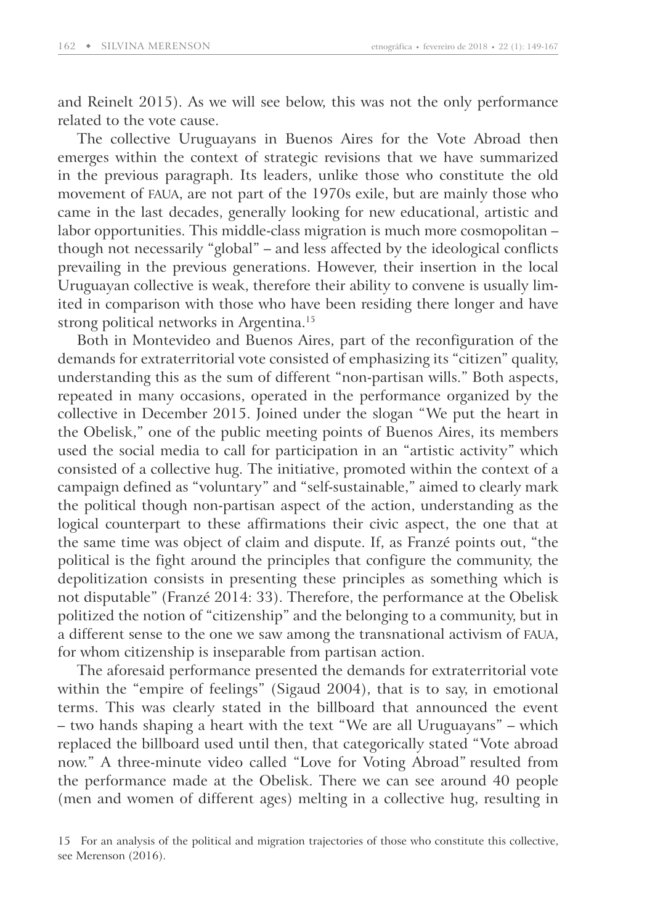and Reinelt 2015). As we will see below, this was not the only performance related to the vote cause.

The collective Uruguayans in Buenos Aires for the Vote Abroad then emerges within the context of strategic revisions that we have summarized in the previous paragraph. Its leaders, unlike those who constitute the old movement of FAUA, are not part of the 1970s exile, but are mainly those who came in the last decades, generally looking for new educational, artistic and labor opportunities. This middle-class migration is much more cosmopolitan – though not necessarily "global" – and less affected by the ideological conflicts prevailing in the previous generations. However, their insertion in the local Uruguayan collective is weak, therefore their ability to convene is usually limited in comparison with those who have been residing there longer and have strong political networks in Argentina.<sup>15</sup>

Both in Montevideo and Buenos Aires, part of the reconfiguration of the demands for extraterritorial vote consisted of emphasizing its "citizen" quality, understanding this as the sum of different "non-partisan wills." Both aspects, repeated in many occasions, operated in the performance organized by the collective in December 2015. Joined under the slogan "We put the heart in the Obelisk," one of the public meeting points of Buenos Aires, its members used the social media to call for participation in an "artistic activity" which consisted of a collective hug. The initiative, promoted within the context of a campaign defined as "voluntary" and "self-sustainable," aimed to clearly mark the political though non-partisan aspect of the action, understanding as the logical counterpart to these affirmations their civic aspect, the one that at the same time was object of claim and dispute. If, as Franzé points out, "the political is the fight around the principles that configure the community, the depolitization consists in presenting these principles as something which is not disputable" (Franzé 2014: 33). Therefore, the performance at the Obelisk politized the notion of "citizenship" and the belonging to a community, but in a different sense to the one we saw among the transnational activism of FAUA, for whom citizenship is inseparable from partisan action.

The aforesaid performance presented the demands for extraterritorial vote within the "empire of feelings" (Sigaud 2004), that is to say, in emotional terms. This was clearly stated in the billboard that announced the event – two hands shaping a heart with the text "We are all Uruguayans" – which replaced the billboard used until then, that categorically stated "Vote abroad now." A three-minute video called "Love for Voting Abroad" resulted from the performance made at the Obelisk. There we can see around 40 people (men and women of different ages) melting in a collective hug, resulting in

<sup>15</sup> For an analysis of the political and migration trajectories of those who constitute this collective, see Merenson (2016).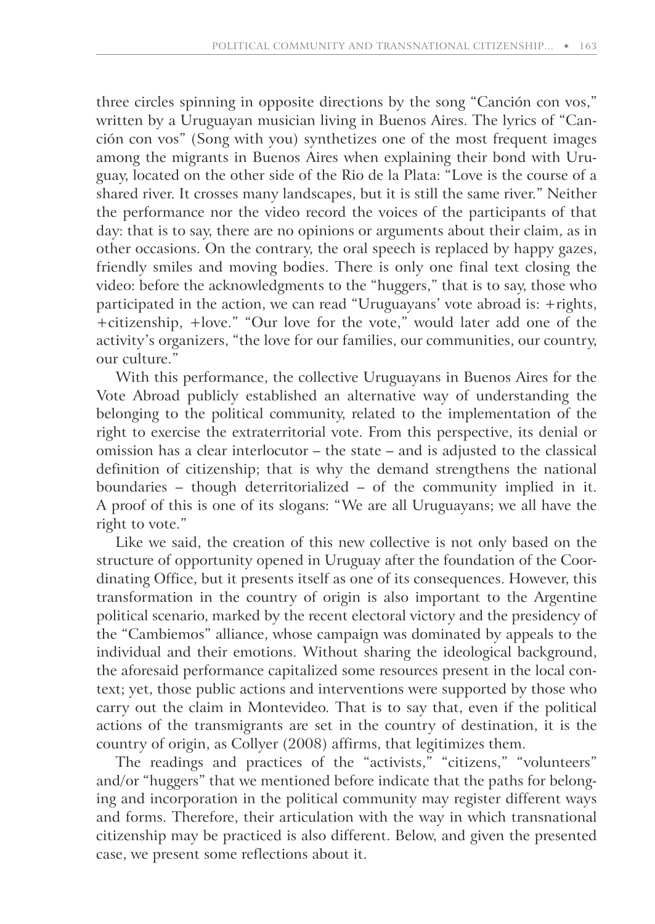three circles spinning in opposite directions by the song "Canción con vos," written by a Uruguayan musician living in Buenos Aires. The lyrics of "Canción con vos" (Song with you) synthetizes one of the most frequent images among the migrants in Buenos Aires when explaining their bond with Uruguay, located on the other side of the Rio de la Plata: "Love is the course of a shared river. It crosses many landscapes, but it is still the same river." Neither the performance nor the video record the voices of the participants of that day: that is to say, there are no opinions or arguments about their claim, as in other occasions. On the contrary, the oral speech is replaced by happy gazes, friendly smiles and moving bodies. There is only one final text closing the video: before the acknowledgments to the "huggers," that is to say, those who participated in the action, we can read "Uruguayans' vote abroad is: +rights, +citizenship, +love." "Our love for the vote," would later add one of the activity's organizers, "the love for our families, our communities, our country, our culture."

With this performance, the collective Uruguayans in Buenos Aires for the Vote Abroad publicly established an alternative way of understanding the belonging to the political community, related to the implementation of the right to exercise the extraterritorial vote. From this perspective, its denial or omission has a clear interlocutor – the state – and is adjusted to the classical definition of citizenship; that is why the demand strengthens the national boundaries – though deterritorialized – of the community implied in it. A proof of this is one of its slogans: "We are all Uruguayans; we all have the right to vote."

Like we said, the creation of this new collective is not only based on the structure of opportunity opened in Uruguay after the foundation of the Coordinating Office, but it presents itself as one of its consequences. However, this transformation in the country of origin is also important to the Argentine political scenario, marked by the recent electoral victory and the presidency of the "Cambiemos" alliance, whose campaign was dominated by appeals to the individual and their emotions. Without sharing the ideological background, the aforesaid performance capitalized some resources present in the local context; yet, those public actions and interventions were supported by those who carry out the claim in Montevideo. That is to say that, even if the political actions of the transmigrants are set in the country of destination, it is the country of origin, as Collyer (2008) affirms, that legitimizes them.

The readings and practices of the "activists," "citizens," "volunteers" and/or "huggers" that we mentioned before indicate that the paths for belonging and incorporation in the political community may register different ways and forms. Therefore, their articulation with the way in which transnational citizenship may be practiced is also different. Below, and given the presented case, we present some reflections about it.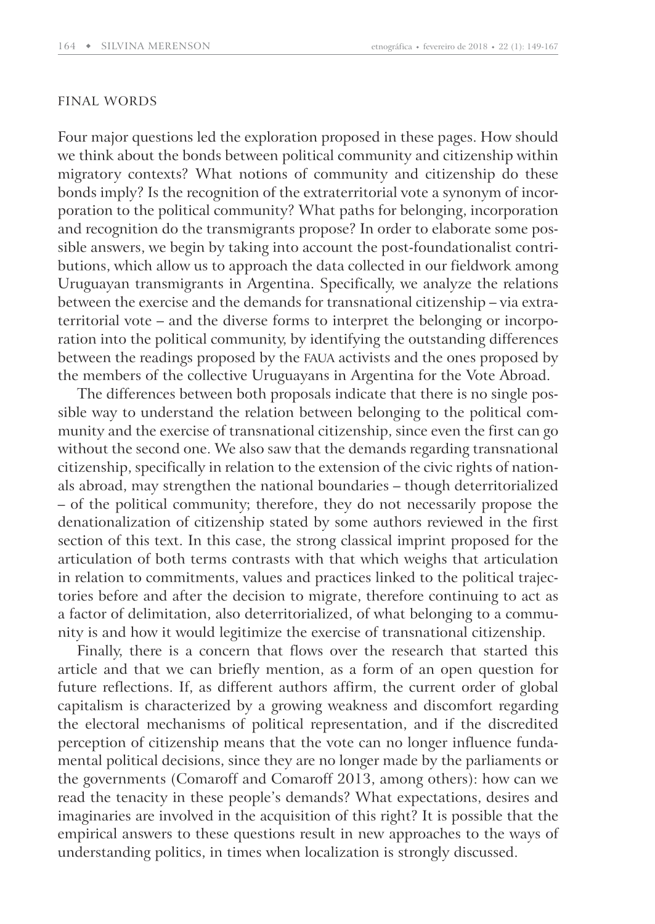#### FINAL WORDS

Four major questions led the exploration proposed in these pages. How should we think about the bonds between political community and citizenship within migratory contexts? What notions of community and citizenship do these bonds imply? Is the recognition of the extraterritorial vote a synonym of incorporation to the political community? What paths for belonging, incorporation and recognition do the transmigrants propose? In order to elaborate some possible answers, we begin by taking into account the post-foundationalist contributions, which allow us to approach the data collected in our fieldwork among Uruguayan transmigrants in Argentina. Specifically, we analyze the relations between the exercise and the demands for transnational citizenship – via extraterritorial vote – and the diverse forms to interpret the belonging or incorporation into the political community, by identifying the outstanding differences between the readings proposed by the FAUA activists and the ones proposed by the members of the collective Uruguayans in Argentina for the Vote Abroad.

The differences between both proposals indicate that there is no single possible way to understand the relation between belonging to the political community and the exercise of transnational citizenship, since even the first can go without the second one. We also saw that the demands regarding transnational citizenship, specifically in relation to the extension of the civic rights of nationals abroad, may strengthen the national boundaries – though deterritorialized – of the political community; therefore, they do not necessarily propose the denationalization of citizenship stated by some authors reviewed in the first section of this text. In this case, the strong classical imprint proposed for the articulation of both terms contrasts with that which weighs that articulation in relation to commitments, values and practices linked to the political trajectories before and after the decision to migrate, therefore continuing to act as a factor of delimitation, also deterritorialized, of what belonging to a community is and how it would legitimize the exercise of transnational citizenship.

Finally, there is a concern that flows over the research that started this article and that we can briefly mention, as a form of an open question for future reflections. If, as different authors affirm, the current order of global capitalism is characterized by a growing weakness and discomfort regarding the electoral mechanisms of political representation, and if the discredited perception of citizenship means that the vote can no longer influence fundamental political decisions, since they are no longer made by the parliaments or the governments (Comaroff and Comaroff 2013, among others): how can we read the tenacity in these people's demands? What expectations, desires and imaginaries are involved in the acquisition of this right? It is possible that the empirical answers to these questions result in new approaches to the ways of understanding politics, in times when localization is strongly discussed.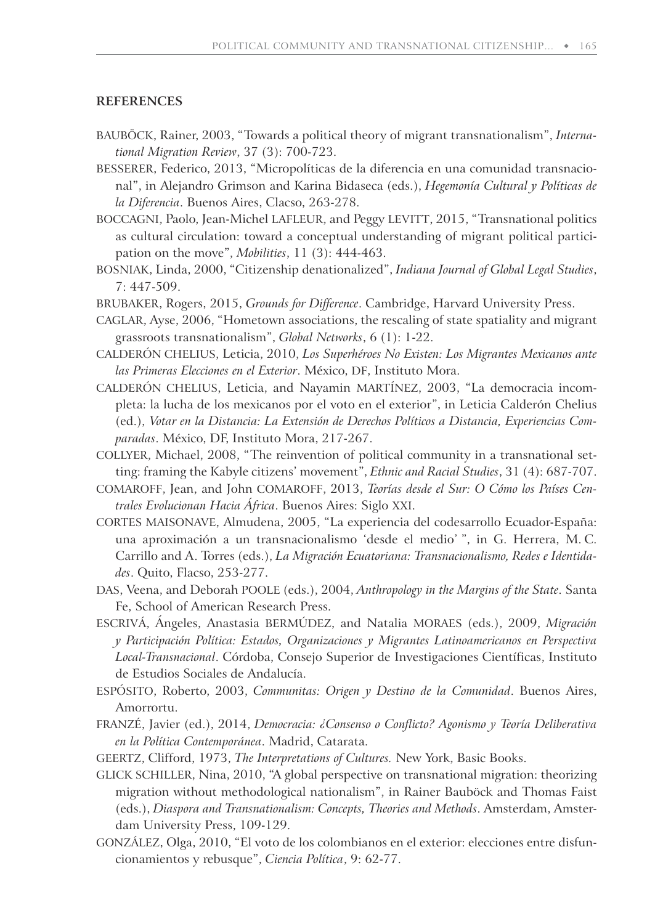#### **REFERENCES**

- BAUBÖCK, Rainer, 2003, "Towards a political theory of migrant transnationalism", *International Migration Review*, 37 (3): 700-723.
- BESSERER, Federico, 2013, "Micropolíticas de la diferencia en una comunidad transnacional", in Alejandro Grimson and Karina Bidaseca (eds.), *Hegemonía Cultural y Políticas de la Diferencia*. Buenos Aires, Clacso, 263-278.
- BOCCAGNI, Paolo, Jean-Michel LAFLEUR, and Peggy LEVITT, 2015, "Transnational politics as cultural circulation: toward a conceptual understanding of migrant political participation on the move", *Mobilities*, 11 (3): 444-463.
- BOSNIAK, Linda, 2000, "Citizenship denationalized", *Indiana Journal of Global Legal Studies*, 7: 447-509.
- BRUBAKER, Rogers, 2015, *Grounds for Difference*. Cambridge, Harvard University Press.
- CAGLAR, Ayse, 2006, "Hometown associations, the rescaling of state spatiality and migrant grassroots transnationalism", *Global Networks*, 6 (1): 1-22.
- CALDERÓN CHELIUS, Leticia, 2010, *Los Superhéroes No Existen: Los Migrantes Mexicanos ante las Primeras Elecciones en el Exterior*. México, DF, Instituto Mora.
- CALDERÓN CHELIUS, Leticia, and Nayamin MARTÍNEZ, 2003, "La democracia incompleta: la lucha de los mexicanos por el voto en el exterior", in Leticia Calderón Chelius (ed.), *Votar en la Distancia: La Extensión de Derechos Políticos a Distancia, Experiencias Comparadas*. México, DF, Instituto Mora, 217-267.
- COLLYER, Michael, 2008, "The reinvention of political community in a transnational setting: framing the Kabyle citizens' movement", *Ethnic and Racial Studies*, 31 (4): 687-707.
- COMAROFF, Jean, and John COMAROFF, 2013, *Teorías desde el Sur: O Cómo los Países Centrales Evolucionan Hacia África*. Buenos Aires: Siglo XXI.
- CORTES MAISONAVE, Almudena, 2005, "La experiencia del codesarrollo Ecuador-España: una aproximación a un transnacionalismo 'desde el medio' ", in G. Herrera, M. C. Carrillo and A. Torres (eds.), *La Migración Ecuatoriana: Transnacionalismo, Redes e Identidades*. Quito, Flacso, 253-277.
- DAS, Veena, and Deborah POOLE (eds.), 2004, *Anthropology in the Margins of the State*. Santa Fe, School of American Research Press.
- ESCRIVÁ, Ángeles, Anastasia BERMÚDEZ, and Natalia MORAES (eds.), 2009, *Migración y Participación Política: Estados, Organizaciones y Migrantes Latinoamericanos en Perspectiva Local-Transnacional*. Córdoba, Consejo Superior de Investigaciones Científicas, Instituto de Estudios Sociales de Andalucía.
- ESPÓSITO, Roberto, 2003, *Communitas: Origen y Destino de la Comunidad*. Buenos Aires, Amorrortu.
- FRANZÉ, Javier (ed.), 2014, *Democracia: ¿Consenso o Conflicto? Agonismo y Teoría Deliberativa en la Política Contemporánea*. Madrid, Catarata.
- GEERTZ, Clifford, 1973, *The Interpretations of Cultures.* New York, Basic Books.
- GLICK SCHILLER, Nina, 2010, "A global perspective on transnational migration: theorizing migration without methodological nationalism", in Rainer Bauböck and Thomas Faist (eds.), *Diaspora and Transnationalism: Concepts, Theories and Methods*. Amsterdam, Amsterdam University Press, 109-129.
- GONZÁLEZ, Olga, 2010, "El voto de los colombianos en el exterior: elecciones entre disfuncionamientos y rebusque", *Ciencia Política*, 9: 62-77.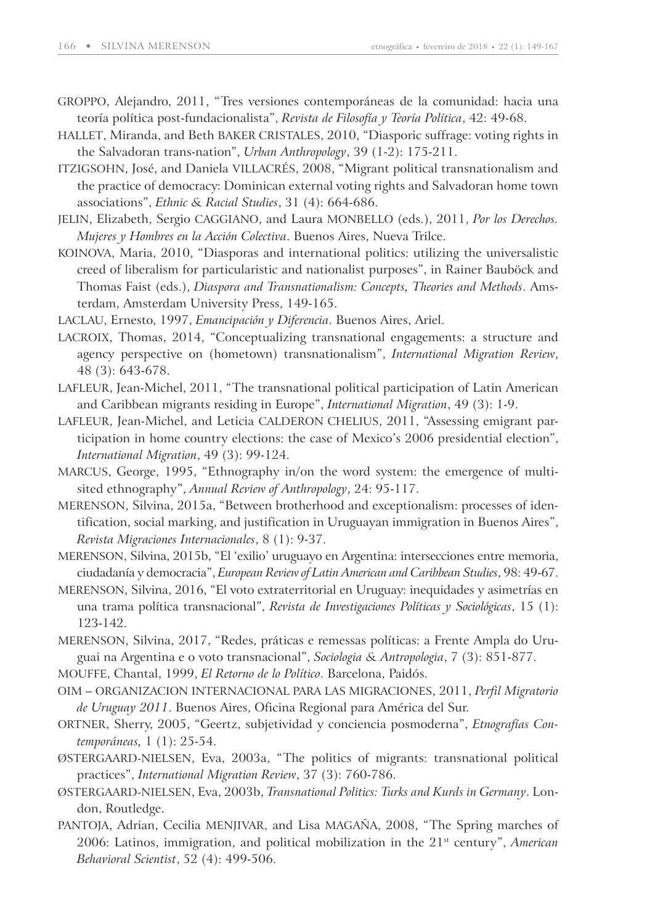- GROPPO, Alejandro, 2011, "Tres versiones contemporáneas de la comunidad: hacia una teoría política post-fundacionalista", *Revista de Filosofía y Teoría Política*, 42: 49-68.
- HALLET, Miranda, and Beth BAKER CRISTALES, 2010, "Diasporic suffrage: voting rights in the Salvadoran trans-nation", *Urban Anthropology*, 39 (1-2): 175-211.
- ITZIGSOHN, José, and Daniela VILLACRÉS, 2008, "Migrant political transnationalism and the practice of democracy: Dominican external voting rights and Salvadoran home town associations", *Ethnic & Racial Studies*, 31 (4): 664-686.
- JELIN, Elizabeth, Sergio CAGGIANO, and Laura MONBELLO (eds.), 2011, *Por los Derechos. Mujeres y Hombres en la Acción Colectiva*. Buenos Aires, Nueva Trilce.
- KOINOVA, Maria, 2010, "Diasporas and international politics: utilizing the universalistic creed of liberalism for particularistic and nationalist purposes", in Rainer Bauböck and Thomas Faist (eds.), *Diaspora and Transnationalism: Concepts, Theories and Methods*. Amsterdam, Amsterdam University Press, 149-165.
- LACLAU, Ernesto, 1997, *Emancipación y Diferencia*. Buenos Aires, Ariel.
- LACROIX, Thomas, 2014, "Conceptualizing transnational engagements: a structure and agency perspective on (hometown) transnationalism", *International Migration Review*, 48 (3): 643-678.
- LAFLEUR, Jean-Michel, 2011, "The transnational political participation of Latin American and Caribbean migrants residing in Europe", *International Migration*, 49 (3): 1-9.
- LAFLEUR, Jean-Michel, and Leticia CALDERON CHELIUS, 2011, "Assessing emigrant participation in home country elections: the case of Mexico's 2006 presidential election", *International Migration*, 49 (3): 99-124.
- MARCUS, George, 1995, "Ethnography in/on the word system: the emergence of multisited ethnography", *Annual Review of Anthropology*, 24: 95-117.
- MERENSON, Silvina, 2015a, "Between brotherhood and exceptionalism: processes of identification, social marking, and justification in Uruguayan immigration in Buenos Aires", *Revista Migraciones Internacionales*, 8 (1): 9-37.
- MERENSON, Silvina, 2015b, "El 'exilio' uruguayo en Argentina: intersecciones entre memoria, ciudadanía y democracia", *European Review of Latin American and Caribbean Studies*, 98: 49-67.
- MERENSON, Silvina, 2016, "El voto extraterritorial en Uruguay: inequidades y asimetrías en una trama política transnacional", *Revista de Investigaciones Políticas y Sociológicas*, 15 (1): 123-142.
- MERENSON, Silvina, 2017, "Redes, práticas e remessas políticas: a Frente Ampla do Uruguai na Argentina e o voto transnacional", *Sociologia & Antropologia*, 7 (3): 851-877.
- MOUFFE, Chantal, 1999, *El Retorno de lo Político*. Barcelona, Paidós.
- OIM ORGANIZACION INTERNACIONAL PARA LAS MIGRACIONES, 2011, *Perfil Migratorio de Uruguay 2011*. Buenos Aires, Oficina Regional para América del Sur.
- ORTNER, Sherry, 2005, "Geertz, subjetividad y conciencia posmoderna", *Etnografías Contemporáneas,* 1 (1): 25-54.
- ØSTERGAARD-NIELSEN, Eva, 2003a, "The politics of migrants: transnational political practices", *International Migration Review*, 37 (3): 760-786.
- ØSTERGAARD-NIELSEN, Eva, 2003b, *Transnational Politics: Turks and Kurds in Germany*. London, Routledge.
- PANTOJA, Adrian, Cecilia MENJIVAR, and Lisa MAGAÑA, 2008, "The Spring marches of 2006: Latinos, immigration, and political mobilization in the 21<sup>st</sup> century", *American Behavioral Scientist*, 52 (4): 499-506.